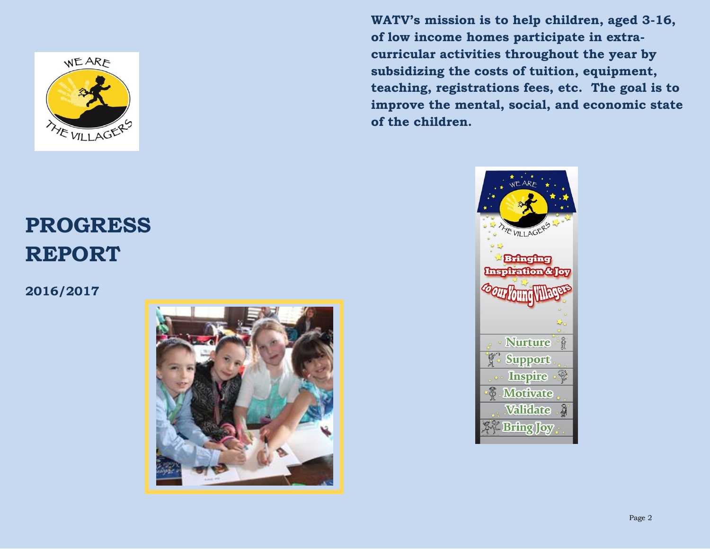

# **PROGRESS REPORT**

**2016/2017**



**WATV's mission is to help children, aged 3-16, of low income homes participate in extracurricular activities throughout the year by subsidizing the costs of tuition, equipment, teaching, registrations fees, etc. The goal is to improve the mental, social, and economic state of the children.**

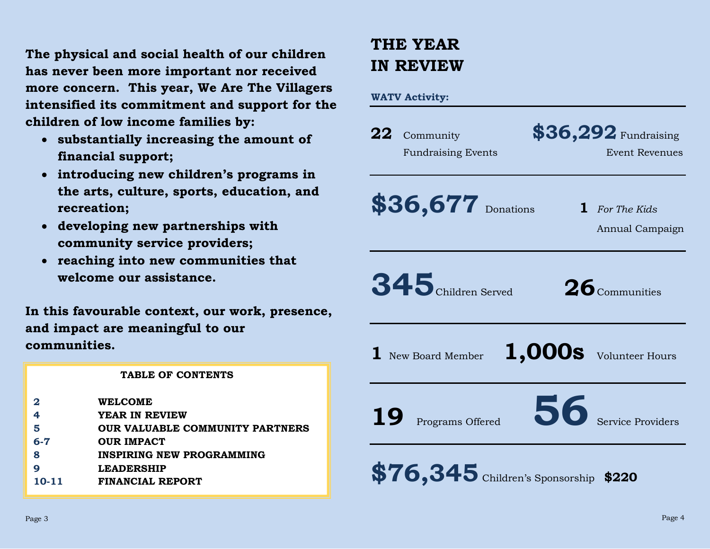**The physical and social health of our children has never been more important nor received more concern. This year, We Are The Villagers intensified its commitment and support for the children of low income families by:** 

- **substantially increasing the amount of financial support;**
- **introducing new children's programs in the arts, culture, sports, education, and recreation;**
- **developing new partnerships with community service providers;**
- **reaching into new communities that welcome our assistance.**

**In this favourable context, our work, presence, and impact are meaningful to our communities.**

#### **TABLE OF CONTENTS**

- **2 WELCOME**
- **4 YEAR IN REVIEW**
- **5 OUR VALUABLE COMMUNITY PARTNERS**
- **6-7 OUR IMPACT**
- **8 INSPIRING NEW PROGRAMMING**
- **9 LEADERSHIP**
- **10-11 FINANCIAL REPORT**

# **THE YEAR IN REVIEW**

### **WATV Activity:**

| 22        | Community                             | \$36,292 Fundraising                     |
|-----------|---------------------------------------|------------------------------------------|
|           | <b>Fundraising Events</b>             | Event Revenues                           |
|           | \$36,677 Donations                    | <b>1</b> For The Kids<br>Annual Campaign |
|           | 345 Children Served                   | $26$ Communities                         |
|           | <b>1</b> New Board Member             | 1,000s Volunteer Hours                   |
| <b>19</b> | Programs Offered                      | <b>56</b> Service Providers              |
|           | \$76,345 Children's Sponsorship \$220 |                                          |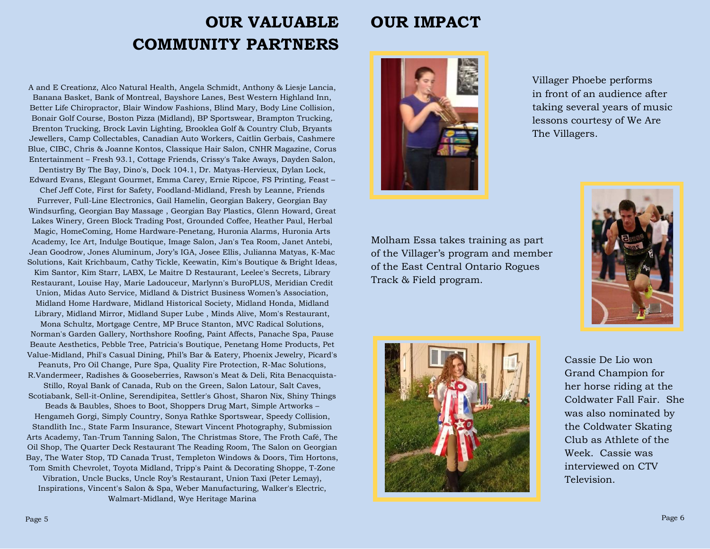## **OUR VALUABLE COMMUNITY PARTNERS**

#### A and E Creationz, Alco Natural Health, Angela Schmidt, Anthony & Liesje Lancia, Banana Basket, Bank of Montreal, Bayshore Lanes, Best Western Highland Inn, Better Life Chiropractor, Blair Window Fashions, Blind Mary, Body Line Collision, Bonair Golf Course, Boston Pizza (Midland), BP Sportswear, Brampton Trucking, Brenton Trucking, Brock Lavin Lighting, Brooklea Golf & Country Club, Bryants Jewellers, Camp Collectables, Canadian Auto Workers, Caitlin Gerbais, Cashmere Blue, CIBC, Chris & Joanne Kontos, Classique Hair Salon, CNHR Magazine, Corus Entertainment – Fresh 93.1, Cottage Friends, Crissy's Take Aways, Dayden Salon,

Dentistry By The Bay, Dino's, Dock 104.1, Dr. Matyas-Hervieux, Dylan Lock, Edward Evans, Elegant Gourmet, Emma Carey, Ernie Ripcoe, FS Printing, Feast –

Chef Jeff Cote, First for Safety, Foodland-Midland, Fresh by Leanne, Friends Furrever, Full-Line Electronics, Gail Hamelin, Georgian Bakery, Georgian Bay Windsurfing, Georgian Bay Massage , Georgian Bay Plastics, Glenn Howard, Great Lakes Winery, Green Block Trading Post, Grounded Coffee, Heather Paul, Herbal Magic, HomeComing, Home Hardware-Penetang, Huronia Alarms, Huronia Arts Academy, Ice Art, Indulge Boutique, Image Salon, Jan's Tea Room, Janet Antebi, Jean Goodrow, Jones Aluminum, Jory's IGA, Josee Ellis, Julianna Matyas, K-Mac Solutions, Kait Krichbaum, Cathy Tickle, Keewatin, Kim's Boutique & Bright Ideas, Kim Santor, Kim Starr, LABX, Le Maitre D Restaurant, Leelee's Secrets, Library Restaurant, Louise Hay, Marie Ladouceur, Marlynn's BuroPLUS, Meridian Credit Union, Midas Auto Service, Midland & District Business Women's Association,

Midland Home Hardware, Midland Historical Society, Midland Honda, Midland Library, Midland Mirror, Midland Super Lube , Minds Alive, Mom's Restaurant,

Mona Schultz, Mortgage Centre, MP Bruce Stanton, MVC Radical Solutions, Norman's Garden Gallery, Northshore Roofing, Paint Affects, Panache Spa, Pause Beaute Aesthetics, Pebble Tree, Patricia's Boutique, Penetang Home Products, Pet Value-Midland, Phil's Casual Dining, Phil's Bar & Eatery, Phoenix Jewelry, Picard's

Peanuts, Pro Oil Change, Pure Spa, Quality Fire Protection, R-Mac Solutions, R.Vandermeer, Radishes & Gooseberries, Rawson's Meat & Deli, Rita Benacquista-Stillo, Royal Bank of Canada, Rub on the Green, Salon Latour, Salt Caves,

Scotiabank, Sell-it-Online, Serendipitea, Settler's Ghost, Sharon Nix, Shiny Things

Beads & Baubles, Shoes to Boot, Shoppers Drug Mart, Simple Artworks – Hengameh Gorgi, Simply Country, Sonya Rathke Sportswear, Speedy Collision, Standlith Inc., State Farm Insurance, Stewart Vincent Photography, Submission Arts Academy, Tan-Trum Tanning Salon, The Christmas Store, The Froth Café, The Oil Shop, The Quarter Deck Restaurant The Reading Room, The Salon on Georgian Bay, The Water Stop, TD Canada Trust, Templeton Windows & Doors, Tim Hortons, Tom Smith Chevrolet, Toyota Midland, Tripp's Paint & Decorating Shoppe, T-Zone Vibration, Uncle Bucks, Uncle Roy's Restaurant, Union Taxi (Peter Lemay), Inspirations, Vincent's Salon & Spa, Weber Manufacturing, Walker's Electric, Walmart-Midland, Wye Heritage Marina

Villager Phoebe performs

in front of an audience after taking several years of music lessons courtesy of We Are The Villagers.

Molham Essa takes training as part of the Villager's program and member of the East Central Ontario Rogues Track & Field program.

**OUR IMPACT**





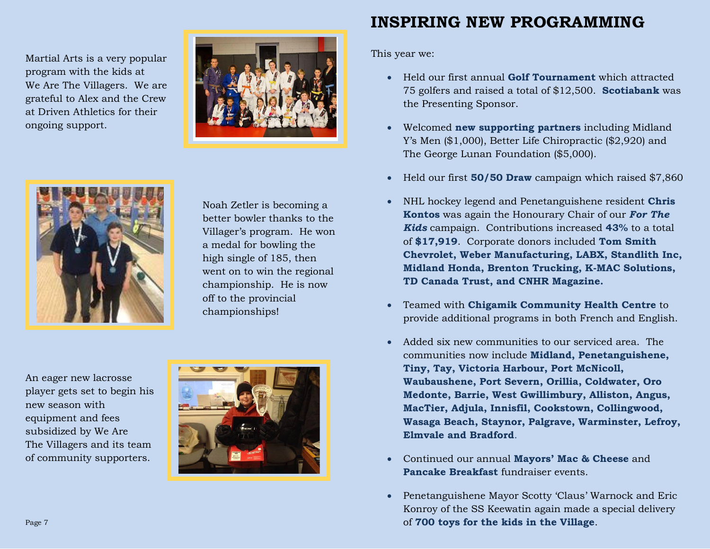Martial Arts is a very popular program with the kids at We Are The Villagers. We are grateful to Alex and the Crew at Driven Athletics for their ongoing support.





 Noah Zetler is becoming a better bowler thanks to the Villager's program. He won a medal for bowling the high single of 185, then went on to win the regional championship. He is now off to the provincial championships!

An eager new lacrosse player gets set to begin his new season with equipment and fees subsidized by We Are The Villagers and its team of community supporters.



### **INSPIRING NEW PROGRAMMING**

This year we:

- Held our first annual **Golf Tournament** which attracted 75 golfers and raised a total of \$12,500. **Scotiabank** was the Presenting Sponsor.
- Welcomed **new supporting partners** including Midland Y's Men (\$1,000), Better Life Chiropractic (\$2,920) and The George Lunan Foundation (\$5,000).
- Held our first **50/50 Draw** campaign which raised \$7,860
- NHL hockey legend and Penetanguishene resident **Chris Kontos** was again the Honourary Chair of our *For The Kids* campaign. Contributions increased **43%** to a total of **\$17,919**. Corporate donors included **Tom Smith Chevrolet, Weber Manufacturing, LABX, Standlith Inc, Midland Honda, Brenton Trucking, K-MAC Solutions, TD Canada Trust, and CNHR Magazine.**
- Teamed with **Chigamik Community Health Centre** to provide additional programs in both French and English.
- Added six new communities to our serviced area. The communities now include **Midland, Penetanguishene, Tiny, Tay, Victoria Harbour, Port McNicoll, Waubaushene, Port Severn, Orillia, Coldwater, Oro Medonte, Barrie, West Gwillimbury, Alliston, Angus, MacTier, Adjula, Innisfil, Cookstown, Collingwood, Wasaga Beach, Staynor, Palgrave, Warminster, Lefroy, Elmvale and Bradford**.
- Continued our annual **Mayors' Mac & Cheese** and **Pancake Breakfast** fundraiser events.
- Penetanguishene Mayor Scotty 'Claus' Warnock and Eric Konroy of the SS Keewatin again made a special delivery of **700 toys for the kids in the Village**.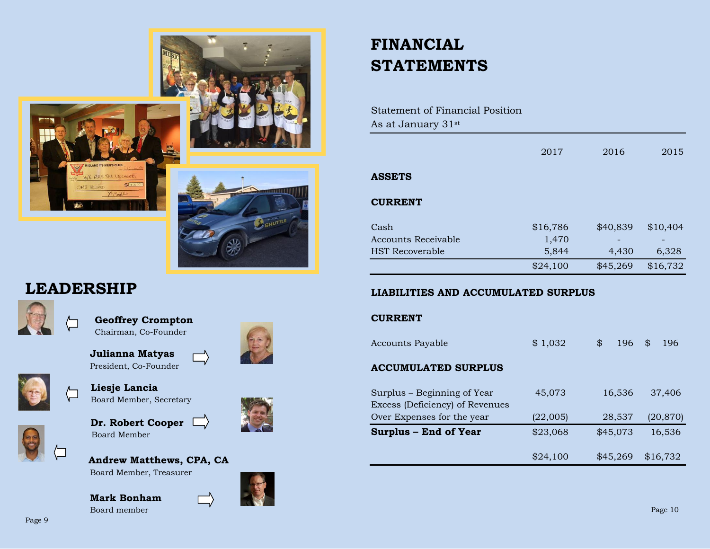



### **LEADERSHIP**



 **Geoffrey Crompton** Chairman, Co-Founder

 **Julianna Matyas** President, Co-Founder



 **Liesje Lancia** Board Member, Secretary



 **Dr. Robert Cooper** Board Member



**Andrew Matthews, CPA, CA**



**Mark Bonham** Board member







| Statement of Financial Position |  |
|---------------------------------|--|
| As at January 31st              |  |

|                        | 2017     | 2016     | 2015     |
|------------------------|----------|----------|----------|
|                        |          |          |          |
| <b>ASSETS</b>          |          |          |          |
|                        |          |          |          |
| <b>CURRENT</b>         |          |          |          |
|                        |          |          |          |
| Cash                   | \$16,786 | \$40,839 | \$10,404 |
| Accounts Receivable    | 1,470    |          |          |
| <b>HST</b> Recoverable | 5,844    | 4,430    | 6,328    |
|                        | \$24,100 | \$45,269 | \$16,732 |
|                        |          |          |          |

### **LIABILITIES AND ACCUMULATED SURPLUS**

### **CURRENT**

| <b>Accounts Payable</b>                                        | \$1,032  | \$       | 196      | \$<br>196 |
|----------------------------------------------------------------|----------|----------|----------|-----------|
| <b>ACCUMULATED SURPLUS</b>                                     |          |          |          |           |
| Surplus - Beginning of Year<br>Excess (Deficiency) of Revenues | 45,073   |          | 16,536   | 37,406    |
| Over Expenses for the year                                     | (22,005) |          | 28,537   | (20, 870) |
| <b>Surplus - End of Year</b>                                   | \$23,068 | \$45,073 |          | 16,536    |
|                                                                | \$24,100 |          | \$45.269 | \$16.732  |